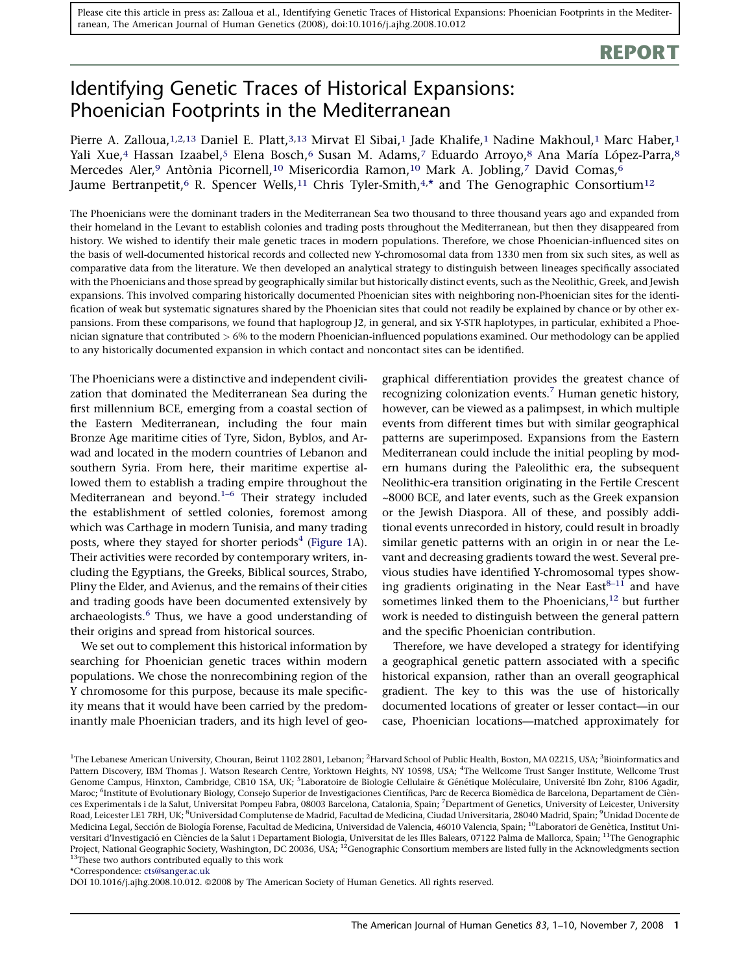# REPORT

# Identifying Genetic Traces of Historical Expansions: Phoenician Footprints in the Mediterranean

Pierre A. Zalloua,<sup>1,2,13</sup> Daniel E. Platt,<sup>3,13</sup> Mirvat El Sibai,<sup>1</sup> Jade Khalife,<sup>1</sup> Nadine Makhoul,<sup>1</sup> Marc Haber,<sup>1</sup> Yali Xue,<sup>4</sup> Hassan Izaabel,<sup>5</sup> Elena Bosch,<sup>6</sup> Susan M. Adams,<sup>7</sup> Eduardo Arroyo,<sup>8</sup> Ana María López-Parra,<sup>8</sup> Mercedes Aler,<sup>9</sup> Antònia Picornell,<sup>10</sup> Misericordia Ramon,<sup>10</sup> Mark A. Jobling,<sup>7</sup> David Comas,<sup>6</sup> Jaume Bertranpetit, $^6$  R. Spencer Wells, $^{11}$  Chris Tyler-Smith, $^{4,\star}$  and The Genographic Consortium $^{12}$ 

The Phoenicians were the dominant traders in the Mediterranean Sea two thousand to three thousand years ago and expanded from their homeland in the Levant to establish colonies and trading posts throughout the Mediterranean, but then they disappeared from history. We wished to identify their male genetic traces in modern populations. Therefore, we chose Phoenician-influenced sites on the basis of well-documented historical records and collected new Y-chromosomal data from 1330 men from six such sites, as well as comparative data from the literature. We then developed an analytical strategy to distinguish between lineages specifically associated with the Phoenicians and those spread by geographically similar but historically distinct events, such as the Neolithic, Greek, and Jewish expansions. This involved comparing historically documented Phoenician sites with neighboring non-Phoenician sites for the identification of weak but systematic signatures shared by the Phoenician sites that could not readily be explained by chance or by other expansions. From these comparisons, we found that haplogroup J2, in general, and six Y-STR haplotypes, in particular, exhibited a Phoenician signature that contributed > 6% to the modern Phoenician-influenced populations examined. Our methodology can be applied to any historically documented expansion in which contact and noncontact sites can be identified.

The Phoenicians were a distinctive and independent civilization that dominated the Mediterranean Sea during the first millennium BCE, emerging from a coastal section of the Eastern Mediterranean, including the four main Bronze Age maritime cities of Tyre, Sidon, Byblos, and Arwad and located in the modern countries of Lebanon and southern Syria. From here, their maritime expertise allowed them to establish a trading empire throughout the Mediterranean and beyond.<sup>1-6</sup> Their strategy included the establishment of settled colonies, foremost among which was Carthage in modern Tunisia, and many trading posts, where they stayed for shorter periods<sup>[4](#page-9-0)</sup> [\(Figure 1A](#page-1-0)). Their activities were recorded by contemporary writers, including the Egyptians, the Greeks, Biblical sources, Strabo, Pliny the Elder, and Avienus, and the remains of their cities and trading goods have been documented extensively by archaeologists. $6$  Thus, we have a good understanding of their origins and spread from historical sources.

We set out to complement this historical information by searching for Phoenician genetic traces within modern populations. We chose the nonrecombining region of the Y chromosome for this purpose, because its male specificity means that it would have been carried by the predominantly male Phoenician traders, and its high level of geographical differentiation provides the greatest chance of recognizing colonization events.<sup>[7](#page-9-0)</sup> Human genetic history, however, can be viewed as a palimpsest, in which multiple events from different times but with similar geographical patterns are superimposed. Expansions from the Eastern Mediterranean could include the initial peopling by modern humans during the Paleolithic era, the subsequent Neolithic-era transition originating in the Fertile Crescent ~8000 BCE, and later events, such as the Greek expansion or the Jewish Diaspora. All of these, and possibly additional events unrecorded in history, could result in broadly similar genetic patterns with an origin in or near the Levant and decreasing gradients toward the west. Several previous studies have identified Y-chromosomal types showing gradients originating in the Near East $8-11$  and have sometimes linked them to the Phoenicians, $12$  but further work is needed to distinguish between the general pattern and the specific Phoenician contribution.

Therefore, we have developed a strategy for identifying a geographical genetic pattern associated with a specific historical expansion, rather than an overall geographical gradient. The key to this was the use of historically documented locations of greater or lesser contact—in our case, Phoenician locations—matched approximately for

DOI 10.1016/j.ajhg.2008.10.012. @2008 by The American Society of Human Genetics. All rights reserved.

<sup>&</sup>lt;sup>1</sup>The Lebanese American University, Chouran, Beirut 1102 2801, Lebanon; <sup>2</sup>Harvard School of Public Health, Boston, MA 02215, USA; <sup>3</sup>Bioinformatics and Pattern Discovery, IBM Thomas J. Watson Research Centre, Yorktown Heights, NY 10598, USA; <sup>4</sup>The Wellcome Trust Sanger Institute, Wellcome Trust Genome Campus, Hinxton, Cambridge, CB10 1SA, UK; <sup>5</sup>Laboratoire de Biologie Cellulaire & Génétique Moléculaire, Université Ibn Zohr, 8106 Agadir, Maroc; <sup>6</sup>Institute of Evolutionary Biology, Consejo Superior de Investigaciones Científicas, Parc de Recerca Biomèdica de Barcelona, Departament de Ciènces Experimentals i de la Salut, Universitat Pompeu Fabra, 08003 Barcelona, Catalonia, Spain; <sup>7</sup>Department of Genetics, University of Leicester, University Road, Leicester LE1 7RH, UK; <sup>8</sup>Universidad Complutense de Madrid, Facultad de Medicina, Ciudad Universitaria, 28040 Madrid, Spain; <sup>9</sup>Unidad Docente de Medicina Legal, Sección de Biología Forense, Facultad de Medicina, Universidad de Valencia, 46010 Valencia, Spain; <sup>10</sup>Laboratori de Genètica, Institut Universitari d'Investigació en Ciències de la Salut i Departament Biologia, Universitat de les Illes Balears, 07122 Palma de Mallorca, Spain; <sup>11</sup>The Genographic Project, National Geographic Society, Washington, DC 20036, USA; 12Genographic Consortium members are listed fully in the Acknowledgments section <sup>13</sup>These two authors contributed equally to this work

<sup>\*</sup>Correspondence: [cts@sanger.ac.uk](mailto:cts@sanger.ac.uk)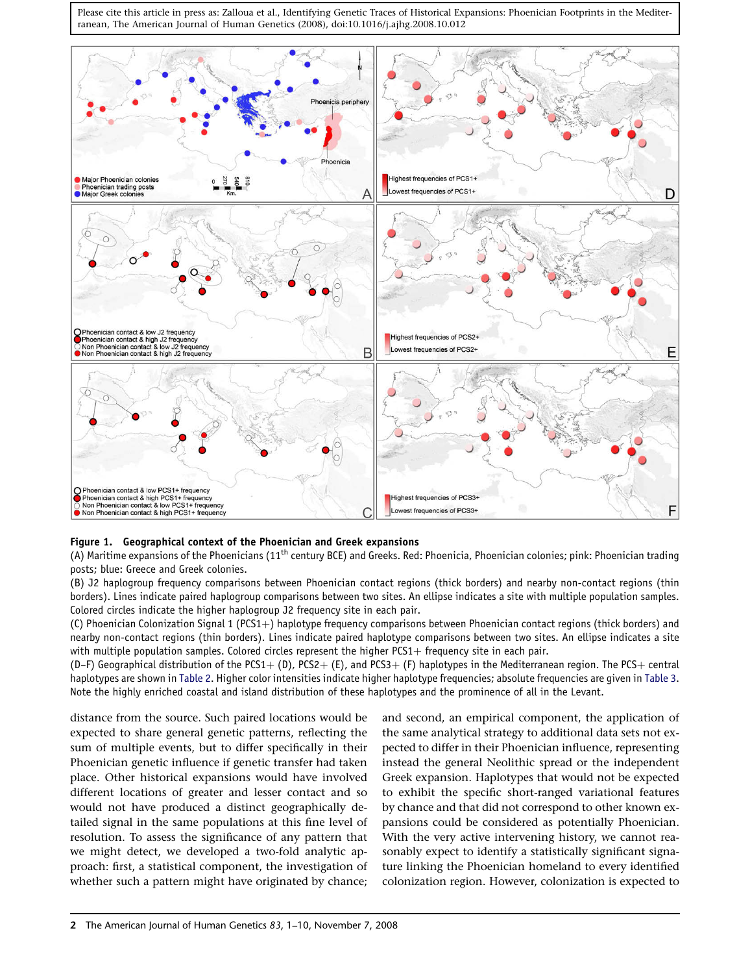<span id="page-1-0"></span>

# Figure 1. Geographical context of the Phoenician and Greek expansions

(A) Maritime expansions of the Phoenicians (11<sup>th</sup> century BCE) and Greeks. Red: Phoenicia, Phoenician colonies; pink: Phoenician trading posts; blue: Greece and Greek colonies.

(B) J2 haplogroup frequency comparisons between Phoenician contact regions (thick borders) and nearby non-contact regions (thin borders). Lines indicate paired haplogroup comparisons between two sites. An ellipse indicates a site with multiple population samples. Colored circles indicate the higher haplogroup J2 frequency site in each pair.

(C) Phoenician Colonization Signal 1 (PCS1+) haplotype frequency comparisons between Phoenician contact regions (thick borders) and nearby non-contact regions (thin borders). Lines indicate paired haplotype comparisons between two sites. An ellipse indicates a site with multiple population samples. Colored circles represent the higher PCS1+ frequency site in each pair.

(D–F) Geographical distribution of the PCS1+(D), PCS2+(E), and PCS3+(F) haplotypes in the Mediterranean region. The PCS+ central haplotypes are shown in [Table 2.](#page-5-0) Higher color intensities indicate higher haplotype frequencies; absolute frequencies are given in [Table 3.](#page-6-0) Note the highly enriched coastal and island distribution of these haplotypes and the prominence of all in the Levant.

distance from the source. Such paired locations would be expected to share general genetic patterns, reflecting the sum of multiple events, but to differ specifically in their Phoenician genetic influence if genetic transfer had taken place. Other historical expansions would have involved different locations of greater and lesser contact and so would not have produced a distinct geographically detailed signal in the same populations at this fine level of resolution. To assess the significance of any pattern that we might detect, we developed a two-fold analytic approach: first, a statistical component, the investigation of whether such a pattern might have originated by chance;

and second, an empirical component, the application of the same analytical strategy to additional data sets not expected to differ in their Phoenician influence, representing instead the general Neolithic spread or the independent Greek expansion. Haplotypes that would not be expected to exhibit the specific short-ranged variational features by chance and that did not correspond to other known expansions could be considered as potentially Phoenician. With the very active intervening history, we cannot reasonably expect to identify a statistically significant signature linking the Phoenician homeland to every identified colonization region. However, colonization is expected to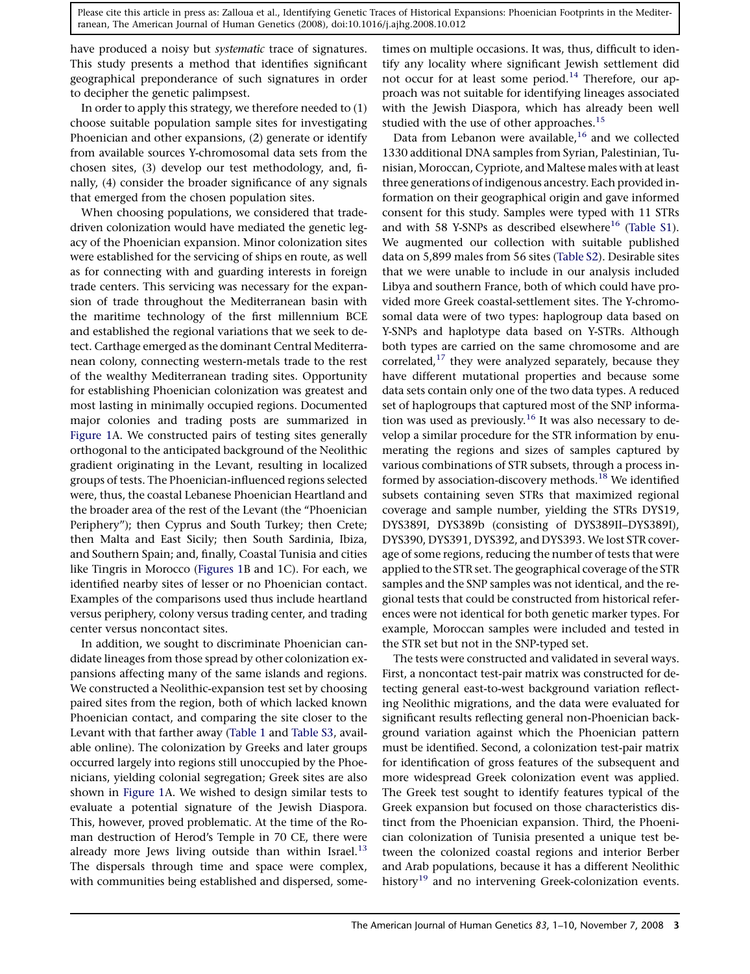have produced a noisy but systematic trace of signatures. This study presents a method that identifies significant geographical preponderance of such signatures in order to decipher the genetic palimpsest.

In order to apply this strategy, we therefore needed to (1) choose suitable population sample sites for investigating Phoenician and other expansions, (2) generate or identify from available sources Y-chromosomal data sets from the chosen sites, (3) develop our test methodology, and, finally, (4) consider the broader significance of any signals that emerged from the chosen population sites.

When choosing populations, we considered that tradedriven colonization would have mediated the genetic legacy of the Phoenician expansion. Minor colonization sites were established for the servicing of ships en route, as well as for connecting with and guarding interests in foreign trade centers. This servicing was necessary for the expansion of trade throughout the Mediterranean basin with the maritime technology of the first millennium BCE and established the regional variations that we seek to detect. Carthage emerged as the dominant Central Mediterranean colony, connecting western-metals trade to the rest of the wealthy Mediterranean trading sites. Opportunity for establishing Phoenician colonization was greatest and most lasting in minimally occupied regions. Documented major colonies and trading posts are summarized in [Figure 1](#page-1-0)A. We constructed pairs of testing sites generally orthogonal to the anticipated background of the Neolithic gradient originating in the Levant, resulting in localized groups of tests. The Phoenician-influenced regions selected were, thus, the coastal Lebanese Phoenician Heartland and the broader area of the rest of the Levant (the ''Phoenician Periphery''); then Cyprus and South Turkey; then Crete; then Malta and East Sicily; then South Sardinia, Ibiza, and Southern Spain; and, finally, Coastal Tunisia and cities like Tingris in Morocco [\(Figures 1](#page-1-0)B and 1C). For each, we identified nearby sites of lesser or no Phoenician contact. Examples of the comparisons used thus include heartland versus periphery, colony versus trading center, and trading center versus noncontact sites.

In addition, we sought to discriminate Phoenician candidate lineages from those spread by other colonization expansions affecting many of the same islands and regions. We constructed a Neolithic-expansion test set by choosing paired sites from the region, both of which lacked known Phoenician contact, and comparing the site closer to the Levant with that farther away ([Table 1](#page-3-0) and [Table S3](#page-9-0), available online). The colonization by Greeks and later groups occurred largely into regions still unoccupied by the Phoenicians, yielding colonial segregation; Greek sites are also shown in [Figure 1A](#page-1-0). We wished to design similar tests to evaluate a potential signature of the Jewish Diaspora. This, however, proved problematic. At the time of the Roman destruction of Herod's Temple in 70 CE, there were already more Jews living outside than within Israel.<sup>[13](#page-9-0)</sup> The dispersals through time and space were complex, with communities being established and dispersed, some-

times on multiple occasions. It was, thus, difficult to identify any locality where significant Jewish settlement did not occur for at least some period.<sup>[14](#page-9-0)</sup> Therefore, our approach was not suitable for identifying lineages associated with the Jewish Diaspora, which has already been well studied with the use of other approaches.<sup>15</sup>

Data from Lebanon were available, $16$  and we collected 1330 additional DNA samples from Syrian, Palestinian, Tunisian, Moroccan, Cypriote, and Maltese males with at least three generations of indigenous ancestry. Each provided information on their geographical origin and gave informed consent for this study. Samples were typed with 11 STRs and with 58 Y-SNPs as described elsewhere<sup>[16](#page-9-0)</sup> ([Table S1\)](#page-9-0). We augmented our collection with suitable published data on 5,899 males from 56 sites [\(Table S2](#page-9-0)). Desirable sites that we were unable to include in our analysis included Libya and southern France, both of which could have provided more Greek coastal-settlement sites. The Y-chromosomal data were of two types: haplogroup data based on Y-SNPs and haplotype data based on Y-STRs. Although both types are carried on the same chromosome and are correlated, $17$  they were analyzed separately, because they have different mutational properties and because some data sets contain only one of the two data types. A reduced set of haplogroups that captured most of the SNP informa-tion was used as previously.<sup>[16](#page-9-0)</sup> It was also necessary to develop a similar procedure for the STR information by enumerating the regions and sizes of samples captured by various combinations of STR subsets, through a process in-formed by association-discovery methods.<sup>[18](#page-9-0)</sup> We identified subsets containing seven STRs that maximized regional coverage and sample number, yielding the STRs DYS19, DYS389I, DYS389b (consisting of DYS389II–DYS389I), DYS390, DYS391, DYS392, and DYS393. We lost STR coverage of some regions, reducing the number of tests that were applied to the STR set. The geographical coverage of the STR samples and the SNP samples was not identical, and the regional tests that could be constructed from historical references were not identical for both genetic marker types. For example, Moroccan samples were included and tested in the STR set but not in the SNP-typed set.

The tests were constructed and validated in several ways. First, a noncontact test-pair matrix was constructed for detecting general east-to-west background variation reflecting Neolithic migrations, and the data were evaluated for significant results reflecting general non-Phoenician background variation against which the Phoenician pattern must be identified. Second, a colonization test-pair matrix for identification of gross features of the subsequent and more widespread Greek colonization event was applied. The Greek test sought to identify features typical of the Greek expansion but focused on those characteristics distinct from the Phoenician expansion. Third, the Phoenician colonization of Tunisia presented a unique test between the colonized coastal regions and interior Berber and Arab populations, because it has a different Neolithic history<sup>[19](#page-9-0)</sup> and no intervening Greek-colonization events.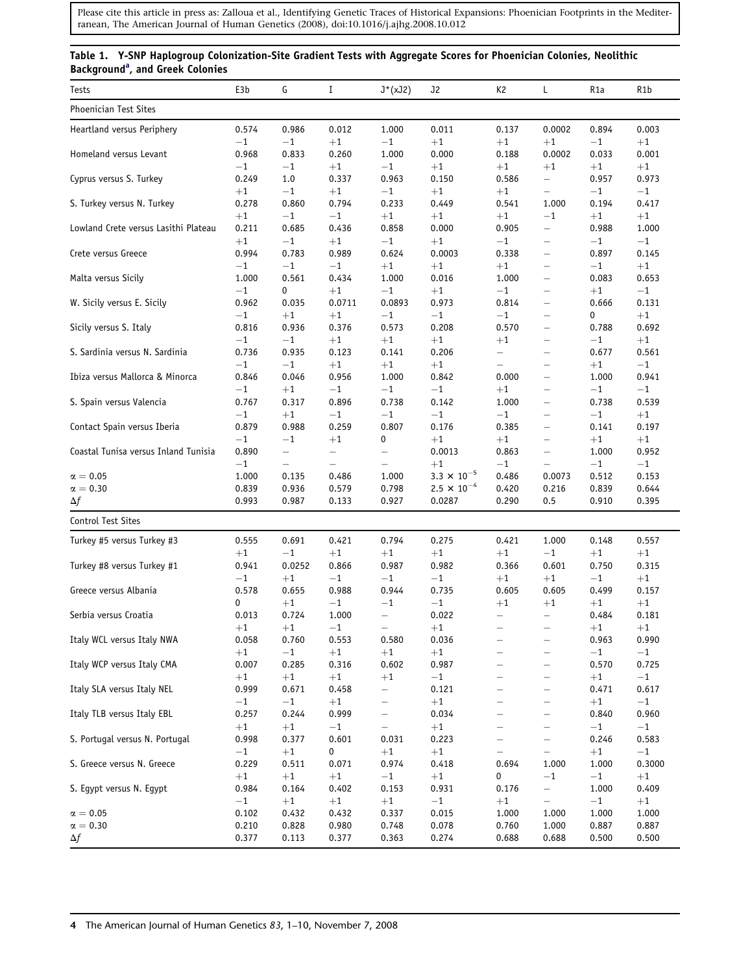# <span id="page-3-0"></span>Table 1. Y-SNP Haplogroup Colonization-Site Gradient Tests with Aggregate Scores for Phoenician Colonies, Neolithic B[a](#page-4-0)ckground<sup>a</sup>, and Greek Colonies

| Tests                                          | E3b                             | G                                            | Ι                                | $J^*(xJ2)$                                   | J2                                                             | K <sub>2</sub>                   | L                                                            | R1a                             | R1b                             |
|------------------------------------------------|---------------------------------|----------------------------------------------|----------------------------------|----------------------------------------------|----------------------------------------------------------------|----------------------------------|--------------------------------------------------------------|---------------------------------|---------------------------------|
| Phoenician Test Sites                          |                                 |                                              |                                  |                                              |                                                                |                                  |                                                              |                                 |                                 |
| Heartland versus Periphery                     | 0.574<br>$-1$                   | 0.986<br>$-1$                                | 0.012<br>$+1$                    | 1.000<br>$-1$                                | 0.011<br>$+1$                                                  | 0.137<br>$+1$                    | 0.0002<br>$+1$                                               | 0.894<br>$-1$                   | 0.003<br>$+1$                   |
| Homeland versus Levant                         | 0.968<br>$-1$                   | 0.833<br>$-1$                                | 0.260<br>$+1$                    | 1.000<br>$-1$                                | 0.000<br>$+1$                                                  | 0.188<br>$+1$                    | 0.0002<br>$+1$                                               | 0.033<br>$+1$                   | 0.001<br>$+1$                   |
| Cyprus versus S. Turkey                        | 0.249                           | $1.0$<br>$-1$                                | 0.337                            | 0.963                                        | 0.150                                                          | 0.586                            | $\overline{\phantom{0}}$                                     | 0.957                           | 0.973<br>$-1$                   |
| S. Turkey versus N. Turkey                     | $+1$<br>0.278                   | 0.860                                        | $+1$<br>0.794                    | $-1$<br>0.233                                | $+1$<br>0.449                                                  | $+1$<br>0.541                    | $\overline{\phantom{0}}$<br>1.000<br>$-1$                    | $-1$<br>0.194                   | 0.417                           |
| Lowland Crete versus Lasithi Plateau           | $+1$<br>0.211                   | $-1$<br>0.685<br>$-1$                        | $-1$<br>0.436                    | $+1$<br>0.858<br>$-1$                        | $+1$<br>0.000                                                  | $+1$<br>0.905<br>$-1$            | —                                                            | $+1$<br>0.988                   | $+1$<br>1.000                   |
| Crete versus Greece                            | $+1$<br>0.994                   | 0.783                                        | $+1$<br>0.989                    | 0.624                                        | $+1$<br>0.0003                                                 | 0.338                            | $\overline{\phantom{0}}$<br>$\overline{\phantom{m}}$         | $-1$<br>0.897                   | $^{-1}$<br>0.145                |
| Malta versus Sicily                            | $-1$<br>1.000                   | $-1$<br>0.561                                | $-1$<br>0.434                    | $+1$<br>1.000                                | $+1$<br>0.016                                                  | $+1$<br>1.000                    | —<br>$\qquad \qquad -$                                       | $-1$<br>0.083                   | $+1$<br>0.653                   |
| W. Sicily versus E. Sicily                     | $^{-1}$<br>0.962                | 0<br>0.035                                   | $+1$<br>0.0711                   | $-1$<br>0.0893                               | $+1$<br>0.973                                                  | $-1$<br>0.814                    | $\qquad \qquad -$<br>—                                       | $+1$<br>0.666                   | $^{-1}$<br>0.131                |
| Sicily versus S. Italy                         | $-1$<br>0.816                   | $+1$<br>0.936                                | $+1$<br>0.376                    | $-1$<br>0.573                                | $-1$<br>0.208                                                  | $-1$<br>0.570                    | $\overline{\phantom{m}}$<br>—                                | 0<br>0.788                      | $+1$<br>0.692                   |
| S. Sardinia versus N. Sardinia                 | $-1$<br>0.736                   | $-1$<br>0.935                                | $+1$<br>0.123                    | $+1$<br>0.141                                | $+1$<br>0.206                                                  | $+1$<br>$\qquad \qquad -$        | —<br>$\qquad \qquad -$                                       | $-1$<br>0.677                   | $+1$<br>0.561                   |
| Ibiza versus Mallorca & Minorca                | $^{-1}$<br>0.846                | $-1$<br>0.046                                | $+1$<br>0.956                    | $+1$<br>1.000                                | $+1$<br>0.842                                                  | $\qquad \qquad -$<br>0.000       | $\overline{\phantom{0}}$<br>—                                | $+1$<br>1.000                   | $^{-1}$<br>0.941                |
| S. Spain versus Valencia                       | $-1$<br>0.767                   | $+1$<br>0.317                                | $-1$<br>0.896                    | $-1$<br>0.738                                | $-1$<br>0.142                                                  | $+1$<br>1.000                    | $\overline{\phantom{m}}$<br>—                                | $-1$<br>0.738                   | $^{-1}$<br>0.539                |
| Contact Spain versus Iberia                    | $-1$<br>0.879                   | $+1$<br>0.988                                | $-1$<br>0.259                    | $-1$<br>0.807                                | $-1$<br>0.176                                                  | $-1$<br>0.385                    | $\qquad \qquad -$<br>$\overline{\phantom{m}}$                | $-1$<br>0.141                   | $+1$<br>0.197                   |
| Coastal Tunisa versus Inland Tunisia           | $-1$<br>0.890                   | $-1$<br>-                                    | $+1$<br>$\overline{\phantom{m}}$ | 0<br>—                                       | $+1$<br>0.0013                                                 | $+1$<br>0.863                    | $\overline{\phantom{0}}$<br>$\overline{\phantom{m}}$         | $+1$<br>1.000                   | $+1$<br>0.952                   |
| $\alpha = 0.05$<br>$\alpha=0.30$<br>$\Delta f$ | $-1$<br>1.000<br>0.839<br>0.993 | $\qquad \qquad -$<br>0.135<br>0.936<br>0.987 | 0.486<br>0.579<br>0.133          | $\qquad \qquad -$<br>1.000<br>0.798<br>0.927 | $+1$<br>$3.3 \times 10^{-5}$<br>$2.5 \times 10^{-4}$<br>0.0287 | $-1$<br>0.486<br>0.420<br>0.290  | $\overline{\phantom{m}}$<br>0.0073<br>0.216<br>0.5           | $-1$<br>0.512<br>0.839<br>0.910 | $-1$<br>0.153<br>0.644<br>0.395 |
| Control Test Sites                             |                                 |                                              |                                  |                                              |                                                                |                                  |                                                              |                                 |                                 |
| Turkey #5 versus Turkey #3                     | 0.555                           | 0.691                                        | 0.421                            | 0.794                                        | 0.275                                                          | 0.421                            | 1.000                                                        | 0.148                           | 0.557                           |
| Turkey #8 versus Turkey #1                     | $+1$<br>0.941                   | $-1$<br>0.0252                               | $+1$<br>0.866                    | $+1$<br>0.987                                | $+1$<br>0.982                                                  | $+1$<br>0.366                    | $-1$<br>0.601                                                | $+1$<br>0.750                   | $+1$<br>0.315                   |
| Greece versus Albania                          | $-1$<br>0.578                   | $+1$<br>0.655                                | $-1$<br>0.988                    | $-1$<br>0.944                                | $-1$<br>0.735                                                  | $+1$<br>0.605                    | $+1$<br>0.605                                                | $-1$<br>0.499                   | $+1$<br>0.157                   |
| Serbia versus Croatia                          | 0<br>0.013                      | $+1$<br>0.724                                | $-1$<br>1.000                    | $-1$<br>$\qquad \qquad -$                    | $-1$<br>0.022                                                  | $+1$<br>$\overline{\phantom{0}}$ | $+1$<br>$\qquad \qquad -$                                    | $+1$<br>0.484                   | $+1$<br>0.181                   |
| Italy WCL versus Italy NWA                     | $+1$<br>0.058                   | $+1$<br>0.760                                | $-1$<br>0.553                    | $\overline{\phantom{m}}$<br>0.580            | $+1$<br>0.036                                                  | $\qquad \qquad -$                | $\overline{\phantom{m}}$                                     | $+1$<br>0.963                   | $+1$<br>0.990                   |
| Italy WCP versus Italy CMA                     | $+1$<br>0.007                   | $-1$<br>0.285                                | $+1$<br>0.316                    | $+1$<br>0.602                                | $+1$<br>0.987                                                  | $\overline{\phantom{0}}$         | —                                                            | $-1$<br>0.570                   | $-1$<br>0.725                   |
| Italy SLA versus Italy NEL                     | $+1$<br>0.999                   | $+1$<br>0.671                                | $+1$<br>0.458                    | $+1$<br>$\overline{\phantom{0}}$             | $-1$<br>0.121                                                  |                                  | —                                                            | $+1$<br>0.471                   | $-1$<br>0.617                   |
| Italy TLB versus Italy EBL                     | $-1$<br>0.257                   | $-1$<br>0.244                                | $+1$<br>0.999<br>$-1$            | -<br>$\overline{\phantom{0}}$                | $+1$<br>0.034                                                  |                                  | —<br>$\overline{\phantom{0}}$                                | $+1$<br>0.840                   | $-1$<br>0.960                   |
| S. Portugal versus N. Portugal                 | $+1$<br>0.998                   | $+1$<br>0.377                                | 0.601                            | 0.031                                        | $+1$<br>0.223                                                  | —                                | $\overline{\phantom{0}}$                                     | $-1$<br>0.246                   | $-1$<br>0.583                   |
| S. Greece versus N. Greece                     | $-1$<br>0.229                   | $+1$<br>0.511                                | 0<br>0.071                       | $+1$<br>0.974                                | $+1$<br>0.418                                                  | 0.694                            | $\overline{\phantom{0}}$<br>1.000                            | $+1$<br>1.000                   | $-1$<br>0.3000                  |
| S. Egypt versus N. Egypt                       | $+1$<br>0.984                   | $+1$<br>0.164                                | $+1$<br>0.402                    | $-1$<br>0.153                                | $+1$<br>0.931                                                  | 0<br>0.176                       | $-1$<br>$\overline{\phantom{0}}$<br>$\overline{\phantom{0}}$ | $-1$<br>1.000                   | $+1$<br>0.409                   |
| $\alpha = 0.05$<br>$\alpha=0.30$<br>$\Delta f$ | $-1$<br>0.102<br>0.210<br>0.377 | $+1$<br>0.432<br>0.828<br>0.113              | $+1$<br>0.432<br>0.980<br>0.377  | $+1$<br>0.337<br>0.748<br>0.363              | $-1$<br>0.015<br>0.078<br>0.274                                | $+1$<br>1.000<br>0.760<br>0.688  | 1.000<br>1.000<br>0.688                                      | $-1$<br>1.000<br>0.887<br>0.500 | $+1$<br>1.000<br>0.887<br>0.500 |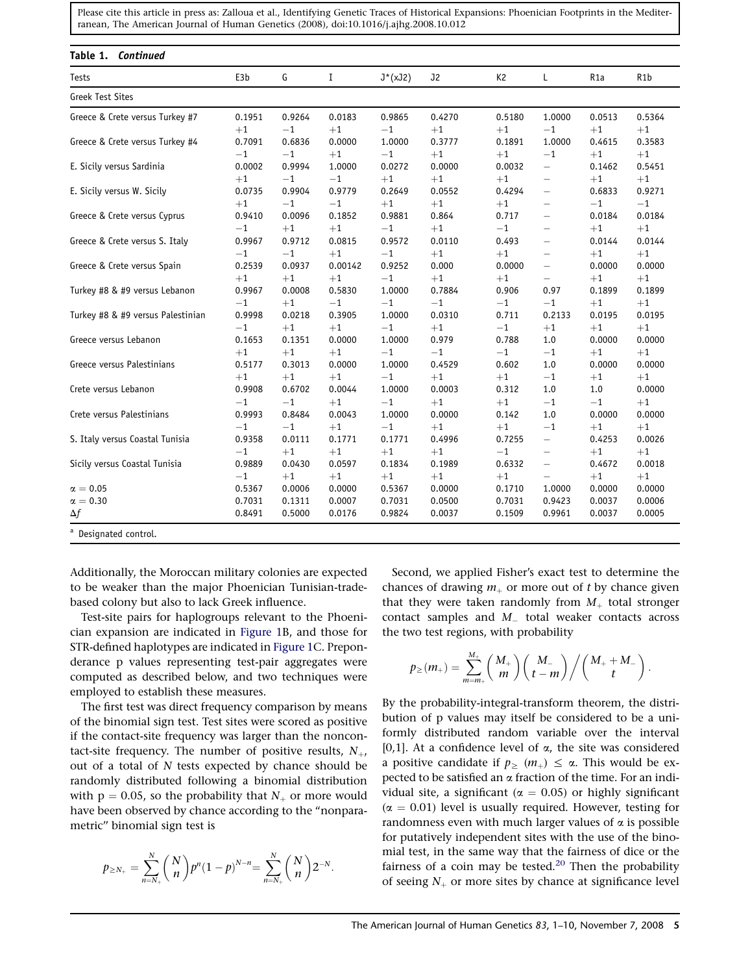<span id="page-4-0"></span>

| Tests                             | E3b     | G      | Ι       | $J^*(xJ2)$ | J2     | K <sub>2</sub> | L                        | R <sub>1</sub> a | R <sub>1</sub> b |
|-----------------------------------|---------|--------|---------|------------|--------|----------------|--------------------------|------------------|------------------|
| <b>Greek Test Sites</b>           |         |        |         |            |        |                |                          |                  |                  |
| Greece & Crete versus Turkey #7   | 0.1951  | 0.9264 | 0.0183  | 0.9865     | 0.4270 | 0.5180         | 1.0000                   | 0.0513           | 0.5364           |
|                                   | $+1$    | $-1$   | $+1$    | $-1$       | $+1$   | $+1$           | $-1$                     | $+1$             | $+1$             |
| Greece & Crete versus Turkey #4   | 0.7091  | 0.6836 | 0.0000  | 1.0000     | 0.3777 | 0.1891         | 1.0000                   | 0.4615           | 0.3583           |
|                                   | $-1$    | $-1$   | $+1$    | $-1$       | $+1$   | $+1$           | $-1$                     | $+1$             | $+1$             |
| E. Sicily versus Sardinia         | 0.0002  | 0.9994 | 1.0000  | 0.0272     | 0.0000 | 0.0032         | $\equiv$                 | 0.1462           | 0.5451           |
|                                   | $+1$    | $-1$   | $-1$    | $+1$       | $+1$   | $+1$           | $\overline{\phantom{m}}$ | $+1$             | $+1$             |
| E. Sicily versus W. Sicily        | 0.0735  | 0.9904 | 0.9779  | 0.2649     | 0.0552 | 0.4294         | $\overline{\phantom{m}}$ | 0.6833           | 0.9271           |
|                                   | $+1$    | $-1$   | $-1$    | $+1$       | $+1$   | $+1$           | $\qquad \qquad -$        | $-1$             | $-1$             |
| Greece & Crete versus Cyprus      | 0.9410  | 0.0096 | 0.1852  | 0.9881     | 0.864  | 0.717          | $\overline{\phantom{m}}$ | 0.0184           | 0.0184           |
|                                   | $-1$    | $+1$   | $+1$    | $-1$       | $+1$   | $-1$           | $\overline{\phantom{m}}$ | $+1$             | $+1$             |
| Greece & Crete versus S. Italy    | 0.9967  | 0.9712 | 0.0815  | 0.9572     | 0.0110 | 0.493          | $\overline{\phantom{m}}$ | 0.0144           | 0.0144           |
|                                   | $-1$    | $-1$   | $+1$    | $-1$       | $+1$   | $+1$           | $\overline{\phantom{m}}$ | $+1$             | $+1$             |
| Greece & Crete versus Spain       | 0.2539  | 0.0937 | 0.00142 | 0.9252     | 0.000  | 0.0000         | $\overline{\phantom{m}}$ | 0.0000           | 0.0000           |
|                                   | $+1$    | $+1$   | $+1$    | $-1$       | $+1$   | $+1$           | $\qquad \qquad -$        | $+1$             | $+1$             |
| Turkey #8 & #9 versus Lebanon     | 0.9967  | 0.0008 | 0.5830  | 1.0000     | 0.7884 | 0.906          | 0.97                     | 0.1899           | 0.1899           |
|                                   | $-1$    | $+1$   | $-1\,$  | $-1$       | $-1$   | $-1$           | $-1$                     | $+1$             | $+1$             |
| Turkey #8 & #9 versus Palestinian | 0.9998  | 0.0218 | 0.3905  | 1.0000     | 0.0310 | 0.711          | 0.2133                   | 0.0195           | 0.0195           |
|                                   | $-1$    | $+1$   | $+1$    | $-1$       | $+1$   | $-1$           | $+1$                     | $+1$             | $+1$             |
| Greece versus Lebanon             | 0.1653  | 0.1351 | 0.0000  | 1.0000     | 0.979  | 0.788          | 1.0                      | 0.0000           | 0.0000           |
|                                   | $+1$    | $+1$   | $+1$    | $-1$       | $-1$   | $-1$           | $-1$                     | $+1$             | $+1$             |
| Greece versus Palestinians        | 0.5177  | 0.3013 | 0.0000  | 1.0000     | 0.4529 | 0.602          | 1.0                      | 0.0000           | 0.0000           |
|                                   | $+1$    | $+1$   | $+1$    | $-1$       | $+1$   | $+1$           | $-1$                     | $+1$             | $+1$             |
| Crete versus Lebanon              | 0.9908  | 0.6702 | 0.0044  | 1.0000     | 0.0003 | 0.312          | 1.0                      | 1.0              | 0.0000           |
|                                   | $-1$    | $-1$   | $+1$    | $-1$       | $+1$   | $+1$           | $-1$                     | $-1$             | $+1$             |
| Crete versus Palestinians         | 0.9993  | 0.8484 | 0.0043  | 1.0000     | 0.0000 | 0.142          | 1.0                      | 0.0000           | 0.0000           |
|                                   | $-1$    | $-1$   | $+1$    | $-1$       | $+1$   | $+1$           | $-1$                     | $+1$             | $+1$             |
| S. Italy versus Coastal Tunisia   | 0.9358  | 0.0111 | 0.1771  | 0.1771     | 0.4996 | 0.7255         | $\qquad \qquad -$        | 0.4253           | 0.0026           |
|                                   | $^{-1}$ | $+1$   | $+1$    | $+1$       | $+1$   | $-1$           | $\qquad \qquad -$        | $+1$             | $+1$             |
| Sicily versus Coastal Tunisia     | 0.9889  | 0.0430 | 0.0597  | 0.1834     | 0.1989 | 0.6332         | $\overline{\phantom{m}}$ | 0.4672           | 0.0018           |
|                                   | $-1$    | $+1$   | $+1$    | $+1$       | $+1$   | $+1$           | $\qquad \qquad -$        | $+1$             | $+1$             |
| $\alpha=0.05$                     | 0.5367  | 0.0006 | 0.0000  | 0.5367     | 0.0000 | 0.1710         | 1.0000                   | 0.0000           | 0.0000           |
| $\alpha = 0.30$                   | 0.7031  | 0.1311 | 0.0007  | 0.7031     | 0.0500 | 0.7031         | 0.9423                   | 0.0037           | 0.0006           |
| Δf                                | 0.8491  | 0.5000 | 0.0176  | 0.9824     | 0.0037 | 0.1509         | 0.9961                   | 0.0037           | 0.0005           |

Additionally, the Moroccan military colonies are expected to be weaker than the major Phoenician Tunisian-tradebased colony but also to lack Greek influence.

Test-site pairs for haplogroups relevant to the Phoenician expansion are indicated in [Figure 1](#page-1-0)B, and those for STR-defined haplotypes are indicated in [Figure 1](#page-1-0)C. Preponderance p values representing test-pair aggregates were computed as described below, and two techniques were employed to establish these measures.

The first test was direct frequency comparison by means of the binomial sign test. Test sites were scored as positive if the contact-site frequency was larger than the noncontact-site frequency. The number of positive results,  $N_{+}$ , out of a total of N tests expected by chance should be randomly distributed following a binomial distribution with  $p = 0.05$ , so the probability that  $N_{+}$  or more would have been observed by chance according to the ''nonparametric'' binomial sign test is

$$
p_{\geq N_+} = \sum_{n=N_+}^N {N \choose n} p^n (1-p)^{N-n} = \sum_{n=N_+}^N {N \choose n} 2^{-N}.
$$

Second, we applied Fisher's exact test to determine the chances of drawing  $m_+$  or more out of t by chance given that they were taken randomly from  $M_+$  total stronger contact samples and  $M_{-}$  total weaker contacts across the two test regions, with probability

$$
p_\geq(m_+)=\sum_{m=m_+}^{M_+} \binom{M_+}{m}\binom{M_-}{t-m}\Bigg/\binom{M_++M_-}{t}\,.
$$

By the probability-integral-transform theorem, the distribution of p values may itself be considered to be a uniformly distributed random variable over the interval [0,1]. At a confidence level of  $\alpha$ , the site was considered a positive candidate if  $p_{\geq}$  ( $m_{+}$ )  $\leq \alpha$ . This would be expected to be satisfied an  $\alpha$  fraction of the time. For an individual site, a significant ( $\alpha = 0.05$ ) or highly significant  $(\alpha = 0.01)$  level is usually required. However, testing for randomness even with much larger values of  $\alpha$  is possible for putatively independent sites with the use of the binomial test, in the same way that the fairness of dice or the fairness of a coin may be tested.<sup>[20](#page-9-0)</sup> Then the probability of seeing  $N_+$  or more sites by chance at significance level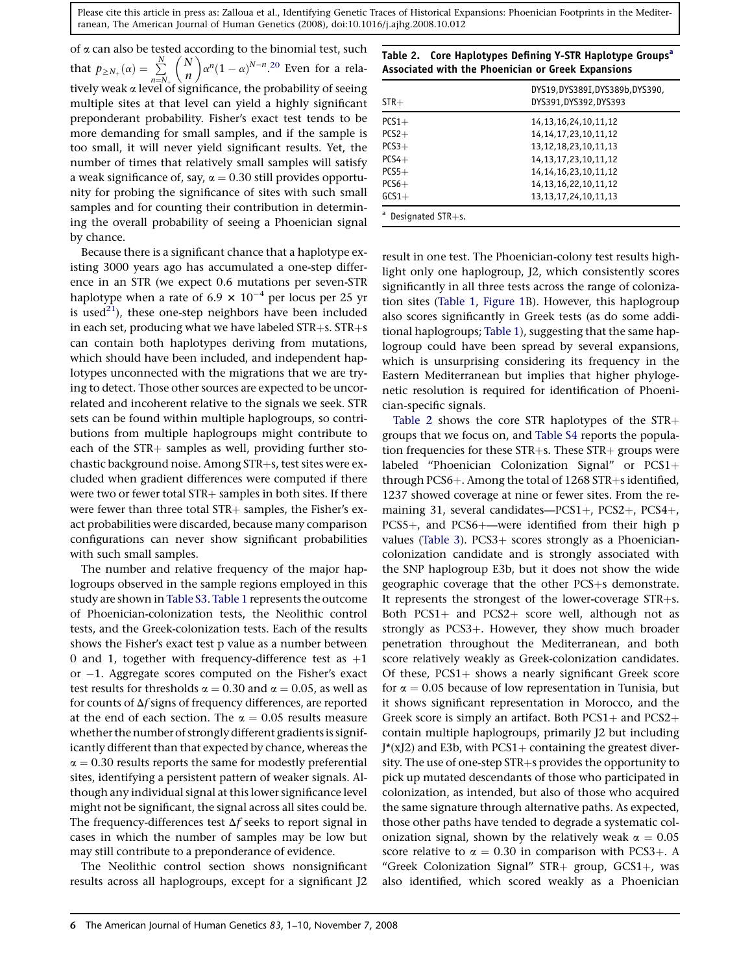<span id="page-5-0"></span>of  $\alpha$  can also be tested according to the binomial test, such that  $p_{\geq N_{+}}(\alpha) = \sum_{n=N_{+}}^{N_{+}}$  $\frac{u}{N}$ n  $\tilde{\zeta}$  $\alpha^n(1-\alpha)^{N-n}$ .<sup>[20](#page-9-0)</sup> Even for a relatively weak a level of significance, the probability of seeing multiple sites at that level can yield a highly significant preponderant probability. Fisher's exact test tends to be more demanding for small samples, and if the sample is too small, it will never yield significant results. Yet, the number of times that relatively small samples will satisfy a weak significance of, say,  $\alpha = 0.30$  still provides opportunity for probing the significance of sites with such small samples and for counting their contribution in determining the overall probability of seeing a Phoenician signal by chance.

Because there is a significant chance that a haplotype existing 3000 years ago has accumulated a one-step difference in an STR (we expect 0.6 mutations per seven-STR haplotype when a rate of 6.9  $\times$  10<sup>-4</sup> per locus per 25 yr is used<sup>[21](#page-9-0)</sup>), these one-step neighbors have been included in each set, producing what we have labeled  $STR+s$ .  $STR+s$ can contain both haplotypes deriving from mutations, which should have been included, and independent haplotypes unconnected with the migrations that we are trying to detect. Those other sources are expected to be uncorrelated and incoherent relative to the signals we seek. STR sets can be found within multiple haplogroups, so contributions from multiple haplogroups might contribute to each of the STR+ samples as well, providing further stochastic background noise. Among STR+s, test sites were excluded when gradient differences were computed if there were two or fewer total  $STR+$  samples in both sites. If there were fewer than three total  $STR+$  samples, the Fisher's exact probabilities were discarded, because many comparison configurations can never show significant probabilities with such small samples.

The number and relative frequency of the major haplogroups observed in the sample regions employed in this study are shown in [Table S3.](#page-9-0) [Table 1](#page-3-0) represents the outcome of Phoenician-colonization tests, the Neolithic control tests, and the Greek-colonization tests. Each of the results shows the Fisher's exact test p value as a number between 0 and 1, together with frequency-difference test as  $+1$ or -1. Aggregate scores computed on the Fisher's exact test results for thresholds  $\alpha = 0.30$  and  $\alpha = 0.05$ , as well as for counts of  $\Delta f$  signs of frequency differences, are reported at the end of each section. The  $\alpha = 0.05$  results measure whether the number of strongly different gradients is significantly different than that expected by chance, whereas the  $\alpha$  = 0.30 results reports the same for modestly preferential sites, identifying a persistent pattern of weaker signals. Although any individual signal at this lower significance level might not be significant, the signal across all sites could be. The frequency-differences test  $\Delta f$  seeks to report signal in cases in which the number of samples may be low but may still contribute to a preponderance of evidence.

The Neolithic control section shows nonsignificant results across all haplogroups, except for a significant J2

Table 2. Core Haplotypes Defining Y-STR Haplotype Groups<sup>a</sup> Associated with the Phoenician or Greek Expansions

| $STR+$               | DYS19, DYS389I, DYS389b, DYS390,<br>DYS391, DYS392, DYS393 |
|----------------------|------------------------------------------------------------|
| $PCS1+$              | 14, 13, 16, 24, 10, 11, 12                                 |
| $PCS2+$              | 14, 14, 17, 23, 10, 11, 12                                 |
| $PCS3+$              | 13, 12, 18, 23, 10, 11, 13                                 |
| $PCS4+$              | 14, 13, 17, 23, 10, 11, 12                                 |
| $PCS5+$              | 14, 14, 16, 23, 10, 11, 12                                 |
| $PCS6+$              | 14, 13, 16, 22, 10, 11, 12                                 |
| $GCS1+$              | 13, 13, 17, 24, 10, 11, 13                                 |
| Designated $STR+s$ . |                                                            |

result in one test. The Phoenician-colony test results highlight only one haplogroup, J2, which consistently scores significantly in all three tests across the range of colonization sites [\(Table 1,](#page-3-0) [Figure 1B](#page-1-0)). However, this haplogroup also scores significantly in Greek tests (as do some additional haplogroups; [Table 1](#page-3-0)), suggesting that the same haplogroup could have been spread by several expansions, which is unsurprising considering its frequency in the Eastern Mediterranean but implies that higher phylogenetic resolution is required for identification of Phoenician-specific signals.

Table 2 shows the core STR haplotypes of the  $STR$ + groups that we focus on, and [Table S4](#page-9-0) reports the population frequencies for these  $STR+s$ . These  $STR+s$  groups were labeled "Phoenician Colonization Signal" or PCS1+ through PCS6+. Among the total of  $1268$  STR+s identified, 1237 showed coverage at nine or fewer sites. From the remaining 31, several candidates— $PCS1+$ ,  $PCS2+$ ,  $PCS4+$ ,  $PCS5+$ , and  $PCS6+$ —were identified from their high p values ([Table 3](#page-6-0)). PCS3+ scores strongly as a Phoeniciancolonization candidate and is strongly associated with the SNP haplogroup E3b, but it does not show the wide geographic coverage that the other  $PCS + s$  demonstrate. It represents the strongest of the lower-coverage  $STR+s$ . Both PCS1+ and PCS2+ score well, although not as strongly as  $PCS3+$ . However, they show much broader penetration throughout the Mediterranean, and both score relatively weakly as Greek-colonization candidates. Of these,  $PCS1+$  shows a nearly significant Greek score for  $\alpha = 0.05$  because of low representation in Tunisia, but it shows significant representation in Morocco, and the Greek score is simply an artifact. Both  $PCS1+$  and  $PCS2+$ contain multiple haplogroups, primarily J2 but including  $J^*(xJ2)$  and E3b, with PCS1+ containing the greatest diversity. The use of one-step  $STR+s$  provides the opportunity to pick up mutated descendants of those who participated in colonization, as intended, but also of those who acquired the same signature through alternative paths. As expected, those other paths have tended to degrade a systematic colonization signal, shown by the relatively weak  $\alpha = 0.05$ score relative to  $\alpha = 0.30$  in comparison with PCS3+. A "Greek Colonization Signal" STR+ group, GCS1+, was also identified, which scored weakly as a Phoenician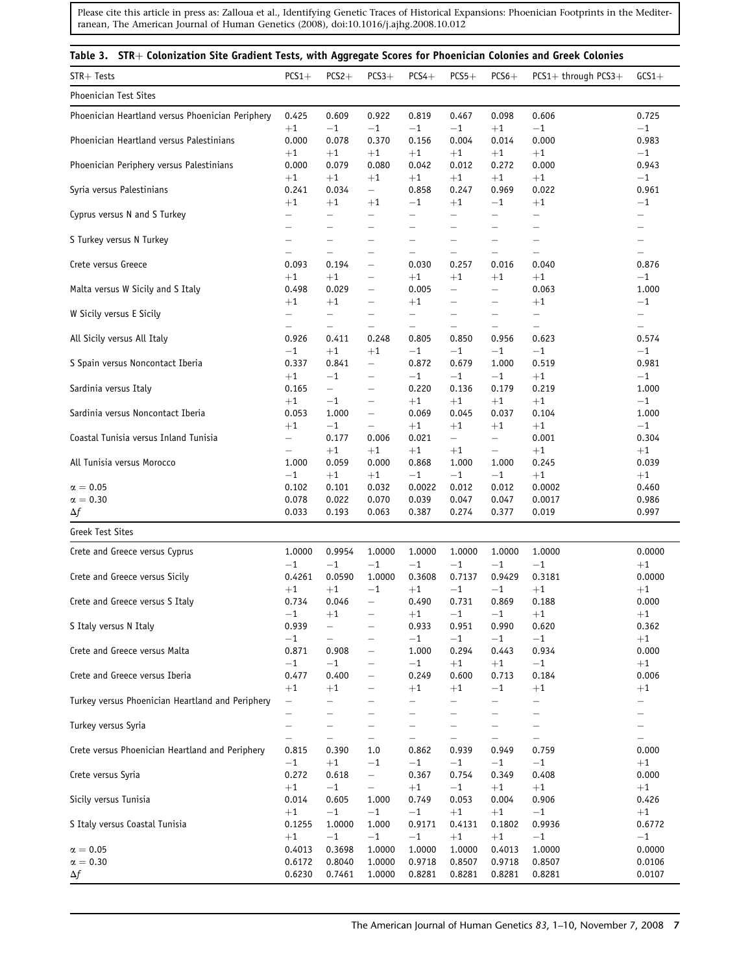<span id="page-6-0"></span>

| Table 3. STR+ Colonization Site Gradient Tests, with Aggregate Scores for Phoenician Colonies and Greek Colonies |                                    |                                  |                                                                           |                                     |                                   |                                    |                                        |                            |
|------------------------------------------------------------------------------------------------------------------|------------------------------------|----------------------------------|---------------------------------------------------------------------------|-------------------------------------|-----------------------------------|------------------------------------|----------------------------------------|----------------------------|
| STR+ Tests                                                                                                       | $PCS1+$                            | $PCS2+$                          | $PCS3+$                                                                   | $PCS4+$                             | $PCS5+$                           | $PCS6+$                            | $PCS1+$ through $PCS3+$                | $GCS1+$                    |
| Phoenician Test Sites                                                                                            |                                    |                                  |                                                                           |                                     |                                   |                                    |                                        |                            |
| Phoenician Heartland versus Phoenician Periphery                                                                 | 0.425                              | 0.609                            | 0.922                                                                     | 0.819                               | 0.467                             | 0.098                              | 0.606                                  | 0.725                      |
| Phoenician Heartland versus Palestinians                                                                         | $+1$<br>0.000<br>$+1$              | $-1$<br>0.078                    | $-1$<br>0.370                                                             | $-1$<br>0.156                       | $-1$<br>0.004                     | $+1$<br>0.014                      | $^{\rm -1}$<br>0.000                   | $-1$<br>0.983<br>$-1$      |
| Phoenician Periphery versus Palestinians                                                                         | 0.000                              | $+1$<br>0.079                    | $+1$<br>0.080                                                             | $+1$<br>0.042                       | $+1$<br>0.012                     | $+1$<br>0.272                      | $+1$<br>0.000                          | 0.943                      |
| Syria versus Palestinians                                                                                        | $+1$                               | $+1$                             | $+1$                                                                      | $+1$                                | $+1$                              | $+1$                               | $+1$                                   | $-1$                       |
|                                                                                                                  | 0.241                              | 0.034                            | $\overline{\phantom{0}}$                                                  | 0.858                               | 0.247                             | 0.969                              | 0.022                                  | 0.961                      |
| Cyprus versus N and S Turkey                                                                                     | $+1$                               | $+1$                             | $+1$                                                                      | $-1$                                | $+1$                              | $-1$                               | $+1$                                   | $^{-1}$                    |
|                                                                                                                  | $\overline{\phantom{0}}$           | $\qquad \qquad -$                | $\qquad \qquad -$                                                         | —                                   | $\overline{\phantom{0}}$          | $\overline{\phantom{m}}$           | $\qquad \qquad -$                      | —                          |
| S Turkey versus N Turkey                                                                                         | $\overline{\phantom{0}}$           | -                                | $\overline{\phantom{0}}$                                                  | -                                   | $\qquad \qquad -$                 | $\overline{\phantom{0}}$           | $\qquad \qquad -$                      | —                          |
|                                                                                                                  | $\overline{\phantom{0}}$           | -                                | $\overline{\phantom{0}}$                                                  | —                                   | $\qquad \qquad -$                 |                                    | $\overline{\phantom{m}}$               |                            |
| Crete versus Greece                                                                                              | $\overline{\phantom{0}}$           | $\qquad \qquad -$                | $\qquad \qquad -$                                                         | $\qquad \qquad -$                   | $\overline{\phantom{0}}$          | $\overline{\phantom{m}}$           | $\overline{\phantom{m}}$               | $\overline{\phantom{0}}$   |
|                                                                                                                  | 0.093                              | 0.194                            | $\qquad \qquad -$                                                         | 0.030                               | 0.257                             | 0.016                              | 0.040                                  | 0.876                      |
| Malta versus W Sicily and S Italy                                                                                | $+1$                               | $+1$                             | $\overline{\phantom{0}}$                                                  | $+1$                                | $+1$                              | $+1$                               | $+1$                                   | $-1$                       |
|                                                                                                                  | 0.498                              | 0.029                            | $\qquad \qquad -$                                                         | 0.005                               | $\qquad \qquad -$                 | $\overline{\phantom{0}}$           | 0.063                                  | 1.000                      |
| W Sicily versus E Sicily                                                                                         | $+1$<br>$\equiv$                   | $+1$<br>$\overline{\phantom{0}}$ | —<br>$\qquad \qquad -$                                                    | $\bf+1$<br>$\overline{\phantom{0}}$ | —<br>$\qquad \qquad -$            | $\overline{\phantom{m}}$           | $+1$<br>$\overline{\phantom{m}}$       | $-1$<br>$\qquad \qquad -$  |
| All Sicily versus All Italy                                                                                      | 0.926                              | —<br>0.411                       | $\qquad \qquad -$<br>0.248                                                | $\qquad \qquad -$<br>0.805          | $\overline{\phantom{0}}$<br>0.850 | $\qquad \qquad -$<br>0.956         | $\overline{\phantom{m}}$<br>0.623      | $\qquad \qquad -$<br>0.574 |
| S Spain versus Noncontact Iberia                                                                                 | $-1$                               | $+1$                             | $+1$                                                                      | $-1$                                | $-1$                              | $-1$                               | $-1$                                   | $-1$                       |
|                                                                                                                  | 0.337                              | 0.841                            | $\overline{\phantom{0}}$                                                  | 0.872                               | 0.679                             | 1.000                              | 0.519                                  | 0.981                      |
| Sardinia versus Italy                                                                                            | $+1$                               | $-1$                             | -                                                                         | $-1$                                | $-1$                              | $-1$                               | $+1$                                   | $-1$                       |
|                                                                                                                  | 0.165                              | $\overline{\phantom{0}}$         | $\qquad \qquad -$                                                         | 0.220                               | 0.136                             | 0.179                              | 0.219                                  | 1.000                      |
| Sardinia versus Noncontact Iberia                                                                                | $+1$<br>0.053                      | $-1$<br>1.000                    | $\overline{\phantom{0}}$<br>$\qquad \qquad -$<br>$\overline{\phantom{m}}$ | $+1$<br>0.069                       | $+1$<br>0.045                     | $+1$<br>0.037                      | $+1$<br>0.104                          | $-1$<br>1.000              |
| Coastal Tunisia versus Inland Tunisia                                                                            | $+1$<br>$\overline{\phantom{0}}$   | $-1$<br>0.177                    | 0.006                                                                     | $+1$<br>0.021                       | $+1$<br>$\overline{\phantom{0}}$  | $+1$<br>$\qquad \qquad -$          | $+1$<br>0.001                          | $^{-1}$<br>0.304           |
| All Tunisia versus Morocco                                                                                       | $\qquad \qquad -$<br>1.000<br>$-1$ | $+1$<br>0.059<br>$+1$            | $+1$<br>0.000<br>$+1$                                                     | $+1$<br>0.868<br>$-1$               | $+1$<br>1.000<br>$-1$             | $\qquad \qquad -$<br>1.000<br>$-1$ | $+1$<br>0.245<br>$+1$                  | $+1$<br>0.039              |
| $\alpha = 0.05$<br>$\alpha = 0.30$                                                                               | 0.102<br>0.078                     | 0.101<br>0.022                   | 0.032<br>0.070                                                            | 0.0022<br>0.039                     | 0.012<br>0.047                    | 0.012<br>0.047                     | 0.0002<br>0.0017                       | $+1$<br>0.460<br>0.986     |
| $\Delta f$                                                                                                       | 0.033                              | 0.193                            | 0.063                                                                     | 0.387                               | 0.274                             | 0.377                              | 0.019                                  | 0.997                      |
| <b>Greek Test Sites</b>                                                                                          |                                    |                                  |                                                                           |                                     |                                   |                                    |                                        |                            |
| Crete and Greece versus Cyprus                                                                                   | 1.0000                             | 0.9954                           | 1.0000                                                                    | 1.0000                              | 1.0000                            | 1.0000                             | 1.0000                                 | 0.0000                     |
|                                                                                                                  | $-1$                               | $-1$                             | $-1$                                                                      | $-1$                                | $-1$                              | $-1$                               | $-1$                                   | $+1$                       |
| Crete and Greece versus Sicily                                                                                   | 0.4261                             | 0.0590                           | 1.0000                                                                    | 0.3608                              | 0.7137                            | 0.9429                             | 0.3181                                 | 0.0000                     |
|                                                                                                                  | $+1$                               | $+1$                             | $-1$                                                                      | $+1$                                | $-1$                              | $-1$                               | $+1$                                   | $+1$                       |
| Crete and Greece versus S Italy                                                                                  | 0.734                              | 0.046                            | —                                                                         | 0.490                               | 0.731                             | 0.869                              | 0.188                                  | 0.000                      |
|                                                                                                                  | $-1$                               | $+1$                             | —                                                                         | $+1$                                | $-1$                              | $-1\,$                             | $+1$                                   | $+1$                       |
| S Italy versus N Italy                                                                                           | 0.939<br>$-1$                      |                                  | $\overline{\phantom{0}}$                                                  | 0.933<br>$-1$                       | 0.951<br>$-1$                     | 0.990<br>$-1$                      | 0.620<br>$-1$                          | 0.362<br>$+1$              |
| Crete and Greece versus Malta                                                                                    | 0.871                              | 0.908                            | $\qquad \qquad -$                                                         | 1.000                               | 0.294                             | 0.443                              | 0.934                                  | 0.000                      |
|                                                                                                                  | $-1$                               | $-1$                             | —                                                                         | $-1$                                | $+1$                              | $+1$                               | $-1$                                   | $+1$                       |
| Crete and Greece versus Iberia                                                                                   | 0.477                              | 0.400                            | $\overline{\phantom{0}}$                                                  | 0.249                               | 0.600                             | 0.713                              | 0.184                                  | 0.006                      |
|                                                                                                                  | $+1$                               | $+1$                             | —                                                                         | $+1$                                | $+1$                              | $-1$                               | $+1$                                   | $+1$                       |
| Turkey versus Phoenician Heartland and Periphery                                                                 | $\overline{\phantom{0}}$<br>—      | —                                | $\overline{\phantom{0}}$<br>$\overline{\phantom{0}}$                      | —                                   | $\qquad \qquad -$<br>—            | $\overline{\phantom{m}}$           | $\qquad \qquad -$<br>$\qquad \qquad -$ | $\qquad \qquad -$<br>—     |
| Turkey versus Syria                                                                                              | $\overline{\phantom{0}}$           | $\overline{\phantom{0}}$         | $\overline{\phantom{0}}$                                                  | —                                   | $\qquad \qquad -$                 | $\overline{\phantom{0}}$           | $\qquad \qquad -$                      | —                          |
|                                                                                                                  | $\qquad \qquad -$                  | —                                | $\qquad \qquad -$                                                         | —                                   |                                   |                                    | $\qquad \qquad -$                      | $\qquad \qquad -$          |
| Crete versus Phoenician Heartland and Periphery                                                                  | 0.815                              | 0.390                            | 1.0                                                                       | 0.862                               | 0.939                             | 0.949                              | 0.759                                  | 0.000                      |
|                                                                                                                  | $-1$                               | $+1$                             | $-1$                                                                      | $-1$                                | $-1$                              | $-1$                               | $-1$                                   | $+1$                       |
| Crete versus Syria                                                                                               | 0.272                              | 0.618                            | $\qquad \qquad -$                                                         | 0.367                               | 0.754                             | 0.349                              | 0.408                                  | 0.000                      |
|                                                                                                                  | $+1$                               | $-1$                             | $\qquad \qquad -$                                                         | $+1$                                | $-1$                              | $+1$                               | $+1$                                   | $+1$                       |
| Sicily versus Tunisia                                                                                            | 0.014                              | 0.605                            | 1.000                                                                     | 0.749                               | 0.053                             | 0.004                              | 0.906                                  | 0.426                      |
|                                                                                                                  | $+1$                               | $-1$                             | $-1$                                                                      | $-1$                                | $+1$                              | $+1$                               | $-1$                                   | $+1$                       |
| S Italy versus Coastal Tunisia                                                                                   | 0.1255                             | 1.0000                           | 1.000                                                                     | 0.9171                              | 0.4131                            | 0.1802                             | 0.9936                                 | 0.6772                     |
|                                                                                                                  | $+1$                               | $-1$                             | $-1$                                                                      | $-1$                                | $+1$                              | $+1$                               | $-1$                                   | $-1$                       |
| $\alpha = 0.05$                                                                                                  | 0.4013                             | 0.3698                           | 1.0000                                                                    | 1.0000                              | 1.0000                            | 0.4013                             | 1.0000                                 | 0.0000                     |
| $\alpha = 0.30$                                                                                                  | 0.6172                             | 0.8040                           | 1.0000                                                                    | 0.9718                              | 0.8507                            | 0.9718                             | 0.8507                                 | 0.0106                     |
| Δf                                                                                                               | 0.6230                             | 0.7461                           | 1.0000                                                                    | 0.8281                              | 0.8281                            | 0.8281                             | 0.8281                                 | 0.0107                     |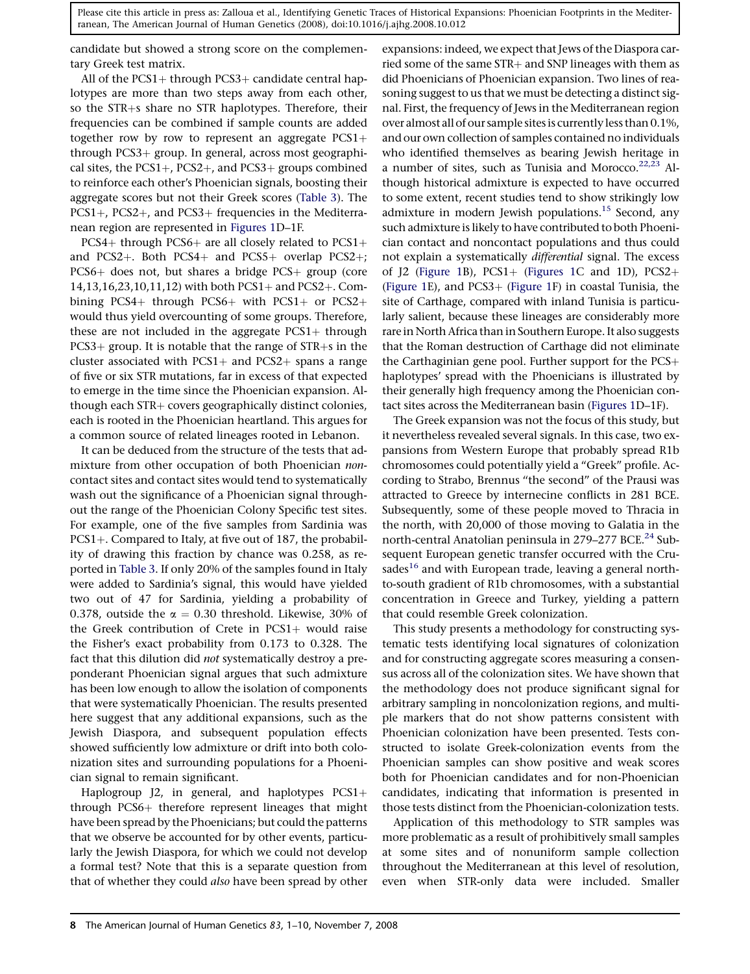candidate but showed a strong score on the complementary Greek test matrix.

All of the  $PCS1+$  through  $PCS3+$  candidate central haplotypes are more than two steps away from each other, so the STR+s share no STR haplotypes. Therefore, their frequencies can be combined if sample counts are added together row by row to represent an aggregate  $PCS1+$ through PCS3+ group. In general, across most geographical sites, the  $PCS1+$ ,  $PCS2+$ , and  $PCS3+$  groups combined to reinforce each other's Phoenician signals, boosting their aggregate scores but not their Greek scores [\(Table 3](#page-6-0)). The  $PCS1+$ ,  $PCS2+$ , and  $PCS3+$  frequencies in the Mediterranean region are represented in [Figures 1](#page-1-0)D–1F.

PCS4+ through PCS6+ are all closely related to  $PCS1+$ and PCS2+. Both PCS4+ and PCS5+ overlap PCS2+;  $PCS6+$  does not, but shares a bridge  $PCS+$  group (core 14,13,16,23,10,11,12) with both PCS1+ and PCS2+. Combining PCS4+ through PCS6+ with PCS1+ or PCS2+ would thus yield overcounting of some groups. Therefore, these are not included in the aggregate  $PCS1+$  through  $PCS3+$  group. It is notable that the range of  $STR+s$  in the cluster associated with  $PCS1+$  and  $PCS2+$  spans a range of five or six STR mutations, far in excess of that expected to emerge in the time since the Phoenician expansion. Although each STR+ covers geographically distinct colonies, each is rooted in the Phoenician heartland. This argues for a common source of related lineages rooted in Lebanon.

It can be deduced from the structure of the tests that admixture from other occupation of both Phoenician noncontact sites and contact sites would tend to systematically wash out the significance of a Phoenician signal throughout the range of the Phoenician Colony Specific test sites. For example, one of the five samples from Sardinia was PCS1+. Compared to Italy, at five out of 187, the probability of drawing this fraction by chance was 0.258, as reported in [Table 3.](#page-6-0) If only 20% of the samples found in Italy were added to Sardinia's signal, this would have yielded two out of 47 for Sardinia, yielding a probability of 0.378, outside the  $\alpha = 0.30$  threshold. Likewise, 30% of the Greek contribution of Crete in  $PCS1+$  would raise the Fisher's exact probability from 0.173 to 0.328. The fact that this dilution did not systematically destroy a preponderant Phoenician signal argues that such admixture has been low enough to allow the isolation of components that were systematically Phoenician. The results presented here suggest that any additional expansions, such as the Jewish Diaspora, and subsequent population effects showed sufficiently low admixture or drift into both colonization sites and surrounding populations for a Phoenician signal to remain significant.

Haplogroup J2, in general, and haplotypes  $PCS1+$ through  $PCS6+$  therefore represent lineages that might have been spread by the Phoenicians; but could the patterns that we observe be accounted for by other events, particularly the Jewish Diaspora, for which we could not develop a formal test? Note that this is a separate question from that of whether they could also have been spread by other

expansions: indeed, we expect that Jews of the Diaspora carried some of the same STR+ and SNP lineages with them as did Phoenicians of Phoenician expansion. Two lines of reasoning suggest to us that we must be detecting a distinct signal. First, the frequency of Jews in the Mediterranean region over almost all of our sample sites is currently less than 0.1%, and our own collection of samples contained no individuals who identified themselves as bearing Jewish heritage in a number of sites, such as Tunisia and Morocco.<sup>22,23</sup> Although historical admixture is expected to have occurred to some extent, recent studies tend to show strikingly low admixture in modern Jewish populations.<sup>15</sup> Second, any such admixture is likely to have contributed to both Phoenician contact and noncontact populations and thus could not explain a systematically differential signal. The excess of J2 [\(Figure 1](#page-1-0)B),  $PCS1+$  ([Figures 1](#page-1-0)C and 1D),  $PCS2+$ ([Figure 1E](#page-1-0)), and  $PCS3+$  ([Figure 1](#page-1-0)F) in coastal Tunisia, the site of Carthage, compared with inland Tunisia is particularly salient, because these lineages are considerably more rare in North Africa than in Southern Europe. It also suggests that the Roman destruction of Carthage did not eliminate the Carthaginian gene pool. Further support for the  $PCS+$ haplotypes' spread with the Phoenicians is illustrated by their generally high frequency among the Phoenician contact sites across the Mediterranean basin ([Figures 1D](#page-1-0)–1F).

The Greek expansion was not the focus of this study, but it nevertheless revealed several signals. In this case, two expansions from Western Europe that probably spread R1b chromosomes could potentially yield a ''Greek'' profile. According to Strabo, Brennus ''the second'' of the Prausi was attracted to Greece by internecine conflicts in 281 BCE. Subsequently, some of these people moved to Thracia in the north, with 20,000 of those moving to Galatia in the north-central Anatolian peninsula in 279–277 BCE.<sup>[24](#page-9-0)</sup> Subsequent European genetic transfer occurred with the Cru-sades<sup>[16](#page-9-0)</sup> and with European trade, leaving a general northto-south gradient of R1b chromosomes, with a substantial concentration in Greece and Turkey, yielding a pattern that could resemble Greek colonization.

This study presents a methodology for constructing systematic tests identifying local signatures of colonization and for constructing aggregate scores measuring a consensus across all of the colonization sites. We have shown that the methodology does not produce significant signal for arbitrary sampling in noncolonization regions, and multiple markers that do not show patterns consistent with Phoenician colonization have been presented. Tests constructed to isolate Greek-colonization events from the Phoenician samples can show positive and weak scores both for Phoenician candidates and for non-Phoenician candidates, indicating that information is presented in those tests distinct from the Phoenician-colonization tests.

Application of this methodology to STR samples was more problematic as a result of prohibitively small samples at some sites and of nonuniform sample collection throughout the Mediterranean at this level of resolution, even when STR-only data were included. Smaller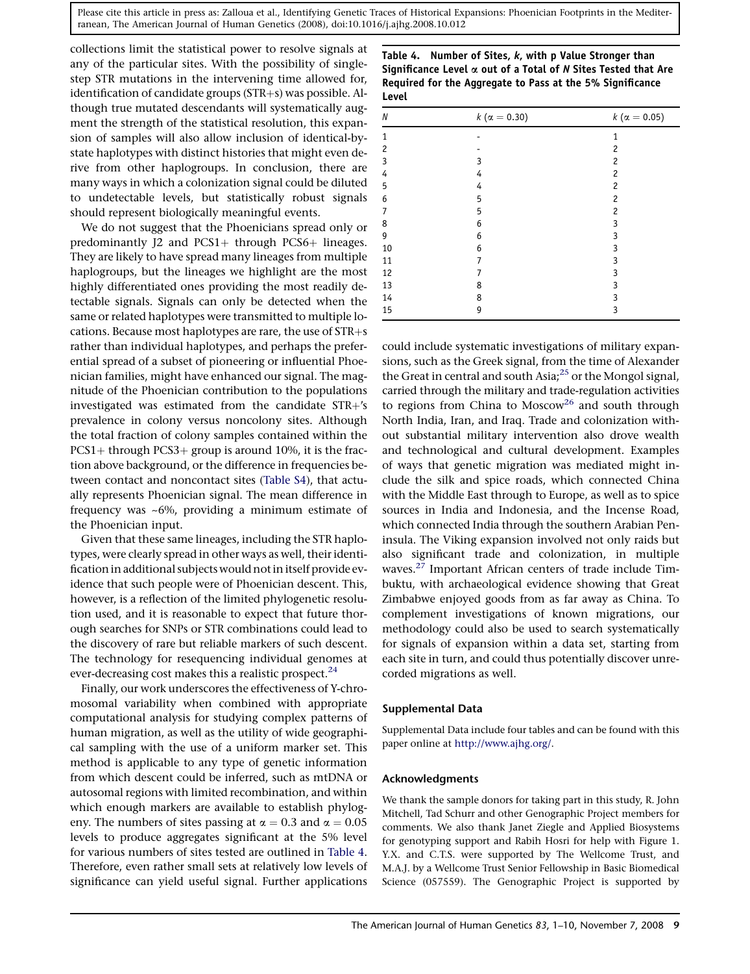collections limit the statistical power to resolve signals at any of the particular sites. With the possibility of singlestep STR mutations in the intervening time allowed for, identification of candidate groups  $(STR+s)$  was possible. Although true mutated descendants will systematically augment the strength of the statistical resolution, this expansion of samples will also allow inclusion of identical-bystate haplotypes with distinct histories that might even derive from other haplogroups. In conclusion, there are many ways in which a colonization signal could be diluted to undetectable levels, but statistically robust signals should represent biologically meaningful events.

We do not suggest that the Phoenicians spread only or predominantly J2 and PCS1+ through PCS6+ lineages. They are likely to have spread many lineages from multiple haplogroups, but the lineages we highlight are the most highly differentiated ones providing the most readily detectable signals. Signals can only be detected when the same or related haplotypes were transmitted to multiple locations. Because most haplotypes are rare, the use of  $STR + s$ rather than individual haplotypes, and perhaps the preferential spread of a subset of pioneering or influential Phoenician families, might have enhanced our signal. The magnitude of the Phoenician contribution to the populations investigated was estimated from the candidate  $STR+$ 's prevalence in colony versus noncolony sites. Although the total fraction of colony samples contained within the  $PCS1+$  through PCS3+ group is around 10%, it is the fraction above background, or the difference in frequencies between contact and noncontact sites ([Table S4](#page-9-0)), that actually represents Phoenician signal. The mean difference in frequency was ~6%, providing a minimum estimate of the Phoenician input.

Given that these same lineages, including the STR haplotypes, were clearly spread in other ways as well, their identification in additional subjects would not in itself provide evidence that such people were of Phoenician descent. This, however, is a reflection of the limited phylogenetic resolution used, and it is reasonable to expect that future thorough searches for SNPs or STR combinations could lead to the discovery of rare but reliable markers of such descent. The technology for resequencing individual genomes at ever-decreasing cost makes this a realistic prospect.<sup>[24](#page-9-0)</sup>

Finally, our work underscores the effectiveness of Y-chromosomal variability when combined with appropriate computational analysis for studying complex patterns of human migration, as well as the utility of wide geographical sampling with the use of a uniform marker set. This method is applicable to any type of genetic information from which descent could be inferred, such as mtDNA or autosomal regions with limited recombination, and within which enough markers are available to establish phylogeny. The numbers of sites passing at  $\alpha = 0.3$  and  $\alpha = 0.05$ levels to produce aggregates significant at the 5% level for various numbers of sites tested are outlined in Table 4. Therefore, even rather small sets at relatively low levels of significance can yield useful signal. Further applications

Table 4. Number of Sites, k, with p Value Stronger than Significance Level  $\alpha$  out of a Total of N Sites Tested that Are Required for the Aggregate to Pass at the 5% Significance Level

| N            | $k (\alpha = 0.30)$ | $k (\alpha = 0.05)$ |
|--------------|---------------------|---------------------|
| $\mathbf{1}$ |                     | $\mathbf{1}$        |
| 2            |                     | 2                   |
| 3            | 3                   | $\overline{c}$      |
| 4            | 4                   | $\overline{c}$      |
| 5            | 4                   | $\overline{c}$      |
| 6            | 5                   | $\overline{c}$      |
| 7            | 5                   | $\overline{c}$      |
| 8            | 6                   | 3                   |
| 9            | 6                   | 3                   |
| 10           | 6                   | 3                   |
| 11           | 7                   | 3                   |
| 12           | 7                   | 3                   |
| 13           | 8                   | 3                   |
| 14           | 8                   | 3                   |
| 15           | 9                   | 3                   |

could include systematic investigations of military expansions, such as the Greek signal, from the time of Alexander the Great in central and south Asia;<sup>[25](#page-9-0)</sup> or the Mongol signal, carried through the military and trade-regulation activities to regions from China to Moscow<sup>[26](#page-9-0)</sup> and south through North India, Iran, and Iraq. Trade and colonization without substantial military intervention also drove wealth and technological and cultural development. Examples of ways that genetic migration was mediated might include the silk and spice roads, which connected China with the Middle East through to Europe, as well as to spice sources in India and Indonesia, and the Incense Road, which connected India through the southern Arabian Peninsula. The Viking expansion involved not only raids but also significant trade and colonization, in multiple waves.<sup>[27](#page-9-0)</sup> Important African centers of trade include Timbuktu, with archaeological evidence showing that Great Zimbabwe enjoyed goods from as far away as China. To complement investigations of known migrations, our methodology could also be used to search systematically for signals of expansion within a data set, starting from each site in turn, and could thus potentially discover unrecorded migrations as well.

### Supplemental Data

Supplemental Data include four tables and can be found with this paper online at <http://www.ajhg.org/>.

# Acknowledgments

We thank the sample donors for taking part in this study, R. John Mitchell, Tad Schurr and other Genographic Project members for comments. We also thank Janet Ziegle and Applied Biosystems for genotyping support and Rabih Hosri for help with Figure 1. Y.X. and C.T.S. were supported by The Wellcome Trust, and M.A.J. by a Wellcome Trust Senior Fellowship in Basic Biomedical Science (057559). The Genographic Project is supported by